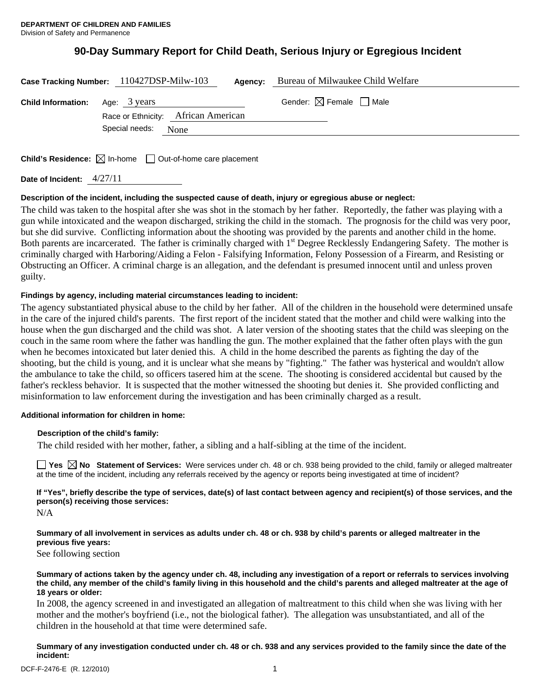# **90-Day Summary Report for Child Death, Serious Injury or Egregious Incident**

|                                        | Case Tracking Number: 110427DSP-Milw-103 | Agency: | Bureau of Milwaukee Child Welfare      |  |
|----------------------------------------|------------------------------------------|---------|----------------------------------------|--|
| <b>Child Information:</b> Age: 3 years | Race or Ethnicity: African American      |         | Gender: $\boxtimes$ Female $\Box$ Male |  |
|                                        | Special needs: None                      |         |                                        |  |

**Child's Residence:**  $\boxtimes$  In-home  $\Box$  Out-of-home care placement

**Date of Incident:** 4/27/11

# **Description of the incident, including the suspected cause of death, injury or egregious abuse or neglect:**

The child was taken to the hospital after she was shot in the stomach by her father. Reportedly, the father was playing with a gun while intoxicated and the weapon discharged, striking the child in the stomach. The prognosis for the child was very poor, but she did survive. Conflicting information about the shooting was provided by the parents and another child in the home. Both parents are incarcerated. The father is criminally charged with 1<sup>st</sup> Degree Recklessly Endangering Safety. The mother is criminally charged with Harboring/Aiding a Felon - Falsifying Information, Felony Possession of a Firearm, and Resisting or Obstructing an Officer. A criminal charge is an allegation, and the defendant is presumed innocent until and unless proven guilty.

# **Findings by agency, including material circumstances leading to incident:**

The agency substantiated physical abuse to the child by her father. All of the children in the household were determined unsafe in the care of the injured child's parents. The first report of the incident stated that the mother and child were walking into the house when the gun discharged and the child was shot. A later version of the shooting states that the child was sleeping on the couch in the same room where the father was handling the gun. The mother explained that the father often plays with the gun when he becomes intoxicated but later denied this. A child in the home described the parents as fighting the day of the shooting, but the child is young, and it is unclear what she means by "fighting." The father was hysterical and wouldn't allow the ambulance to take the child, so officers tasered him at the scene. The shooting is considered accidental but caused by the father's reckless behavior. It is suspected that the mother witnessed the shooting but denies it. She provided conflicting and misinformation to law enforcement during the investigation and has been criminally charged as a result.

# **Additional information for children in home:**

# **Description of the child's family:**

The child resided with her mother, father, a sibling and a half-sibling at the time of the incident.

**Yes**  $\boxtimes$  **No** Statement of Services: Were services under ch. 48 or ch. 938 being provided to the child, family or alleged maltreater at the time of the incident, including any referrals received by the agency or reports being investigated at time of incident?

**If "Yes", briefly describe the type of services, date(s) of last contact between agency and recipient(s) of those services, and the person(s) receiving those services:** 

N/A

**Summary of all involvement in services as adults under ch. 48 or ch. 938 by child's parents or alleged maltreater in the previous five years:** 

See following section

**Summary of actions taken by the agency under ch. 48, including any investigation of a report or referrals to services involving the child, any member of the child's family living in this household and the child's parents and alleged maltreater at the age of 18 years or older:** 

In 2008, the agency screened in and investigated an allegation of maltreatment to this child when she was living with her mother and the mother's boyfriend (i.e., not the biological father). The allegation was unsubstantiated, and all of the children in the household at that time were determined safe.

**Summary of any investigation conducted under ch. 48 or ch. 938 and any services provided to the family since the date of the incident:**